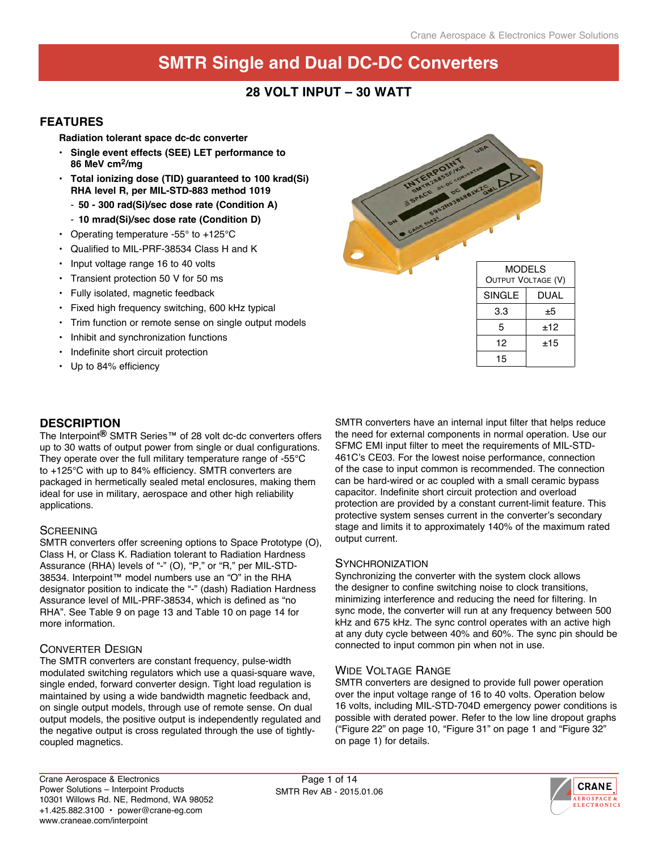### **28 VOLT INPUT – 30 WATT**

#### **FEATURES**

**Radiation tolerant space dc-dc converter** 

- **Single event effects (SEE) LET performance to 86 MeV cm2/mg**
- **• Total ionizing dose (TID) guaranteed to 100 krad(Si) RHA level R, per MIL-STD-883 method 1019**
	- **50 300 rad(Si)/sec dose rate (Condition A)**
	- **10 mrad(Si)/sec dose rate (Condition D)**
- Operating temperature -55° to +125°C
- Qualified to MIL-PRF-38534 Class H and K
- Input voltage range 16 to 40 volts
- Transient protection 50 V for 50 ms
- Fully isolated, magnetic feedback
- Fixed high frequency switching, 600 kHz typical
- Trim function or remote sense on single output models
- Inhibit and synchronization functions
- Indefinite short circuit protection
- Up to 84% efficiency



| <b>UUIFUI VULIAUE (V)</b> |      |  |  |
|---------------------------|------|--|--|
| SINGLE                    | DUAL |  |  |
| 3.3                       | ±5   |  |  |
| 5                         | ±12  |  |  |
| 12                        | ±15  |  |  |
| 15                        |      |  |  |

#### **DESCRIPTION**

The Interpoint**®** SMTR Series™ of 28 volt dc-dc converters offers up to 30 watts of output power from single or dual configurations. They operate over the full military temperature range of -55°C to +125°C with up to 84% efficiency. SMTR converters are packaged in hermetically sealed metal enclosures, making them ideal for use in military, aerospace and other high reliability applications.

#### **SCREENING**

SMTR converters offer screening options to Space Prototype (O), Class H, or Class K. Radiation tolerant to Radiation Hardness Assurance (RHA) levels of "-" (O), "P," or "R," per MIL-STD-38534. Interpoint™ model numbers use an "O" in the RHA designator position to indicate the "-" (dash) Radiation Hardness Assurance level of MIL-PRF-38534, which is defined as "no RHA". See Table 9 on page 13 and Table 10 on page 14 for more information.

#### Converter Design

The SMTR converters are constant frequency, pulse-width modulated switching regulators which use a quasi-square wave, single ended, forward converter design. Tight load regulation is maintained by using a wide bandwidth magnetic feedback and, on single output models, through use of remote sense. On dual output models, the positive output is independently regulated and the negative output is cross regulated through the use of tightlycoupled magnetics.

SMTR converters have an internal input filter that helps reduce the need for external components in normal operation. Use our SFMC EMI input filter to meet the requirements of MIL-STD-461C's CE03. For the lowest noise performance, connection of the case to input common is recommended. The connection can be hard-wired or ac coupled with a small ceramic bypass capacitor. Indefinite short circuit protection and overload protection are provided by a constant current-limit feature. This protective system senses current in the converter's secondary stage and limits it to approximately 140% of the maximum rated output current.

#### **SYNCHRONIZATION**

Synchronizing the converter with the system clock allows the designer to confine switching noise to clock transitions, minimizing interference and reducing the need for filtering. In sync mode, the converter will run at any frequency between 500 kHz and 675 kHz. The sync control operates with an active high at any duty cycle between 40% and 60%. The sync pin should be connected to input common pin when not in use.

#### Wide Voltage Range

SMTR converters are designed to provide full power operation over the input voltage range of 16 to 40 volts. Operation below 16 volts, including MIL-STD-704D emergency power conditions is possible with derated power. Refer to the low line dropout graphs ("Figure 22" on page 10, "Figure 31" on page 1 and "Figure 32" on page 1) for details.

Page 1 of 14 SMTR Rev AB - 2015.01.06

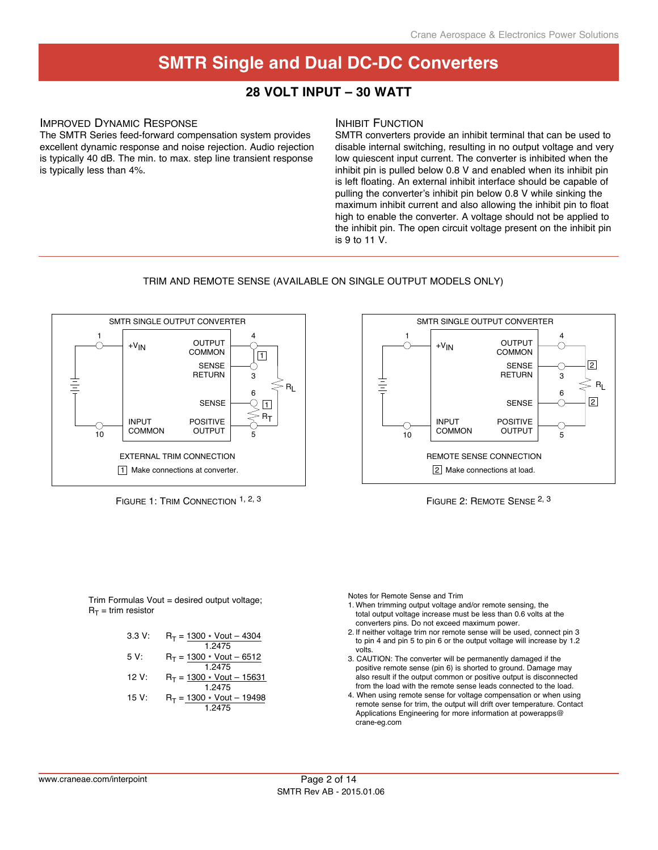### **28 Volt input – 30 Watt**

#### Improved Dynamic Response

The SMTR Series feed-forward compensation system provides excellent dynamic response and noise rejection. Audio rejection is typically 40 dB. The min. to max. step line transient response is typically less than 4%.

#### **INHIBIT FUNCTION**

SMTR converters provide an inhibit terminal that can be used to disable internal switching, resulting in no output voltage and very low quiescent input current. The converter is inhibited when the inhibit pin is pulled below 0.8 V and enabled when its inhibit pin is left floating. An external inhibit interface should be capable of pulling the converter's inhibit pin below 0.8 V while sinking the maximum inhibit current and also allowing the inhibit pin to float high to enable the converter. A voltage should not be applied to the inhibit pin. The open circuit voltage present on the inhibit pin is 9 to 11 V.

#### trim and Remote sense (available on single output models only)









Trim Formulas Vout = desired output voltage;  $R_T =$ trim resistor

Notes for Remote Sense and Trim

- 1. When trimming output voltage and/or remote sensing, the total output voltage increase must be less than 0.6 volts at the converters pins. Do not exceed maximum power.
- 2. If neither voltage trim nor remote sense will be used, connect pin 3 to pin 4 and pin 5 to pin 6 or the output voltage will increase by 1.2 volts.
- 3. CAUTION: The converter will be permanently damaged if the positive remote sense (pin 6) is shorted to ground. Damage may also result if the output common or positive output is disconnected from the load with the remote sense leads connected to the load.
- 4. When using remote sense for voltage compensation or when using remote sense for trim, the output will drift over temperature. Contact Applications Engineering for more information at powerapps@ crane-eg.com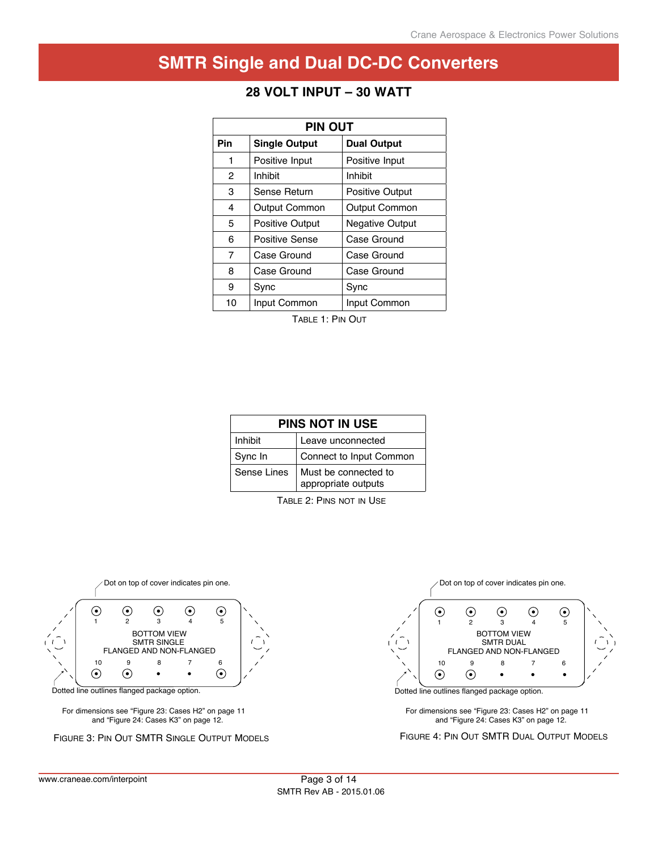| <b>PIN OUT</b> |                        |                        |  |  |  |
|----------------|------------------------|------------------------|--|--|--|
| Pin            | <b>Single Output</b>   | <b>Dual Output</b>     |  |  |  |
| 1              | Positive Input         | Positive Input         |  |  |  |
| 2              | Inhibit                | Inhibit                |  |  |  |
| 3              | Sense Return           | <b>Positive Output</b> |  |  |  |
| 4              | <b>Output Common</b>   | <b>Output Common</b>   |  |  |  |
| 5              | <b>Positive Output</b> | <b>Negative Output</b> |  |  |  |
| 6              | Positive Sense         | Case Ground            |  |  |  |
| 7              | Case Ground            | Case Ground            |  |  |  |
| 8              | Case Ground            | Case Ground            |  |  |  |
| 9              | Sync                   | Sync                   |  |  |  |
| 10             | Input Common           | Input Common           |  |  |  |

## **28 Volt input – 30 Watt**

Table 1: Pin Out

| <b>PINS NOT IN USE</b> |                                             |  |  |  |
|------------------------|---------------------------------------------|--|--|--|
| <b>Inhibit</b>         | Leave unconnected                           |  |  |  |
| Sync In                | Connect to Input Common                     |  |  |  |
| Sense Lines            | Must be connected to<br>appropriate outputs |  |  |  |

Table 2: Pins not in Use



Dotted line outlines flanged package option.

For dimensions see "Figure 23: Cases H2" on page 11 and "Figure 24: Cases K3" on page 12.

Figure 3: Pin Out SMTR Single Output Models

Dot on top of cover indicates pin one.



Dotted line outlines flanged package option.

For dimensions see "Figure 23: Cases H2" on page 11 and "Figure 24: Cases K3" on page 12.

Figure 4: Pin Out SMTR Dual Output Models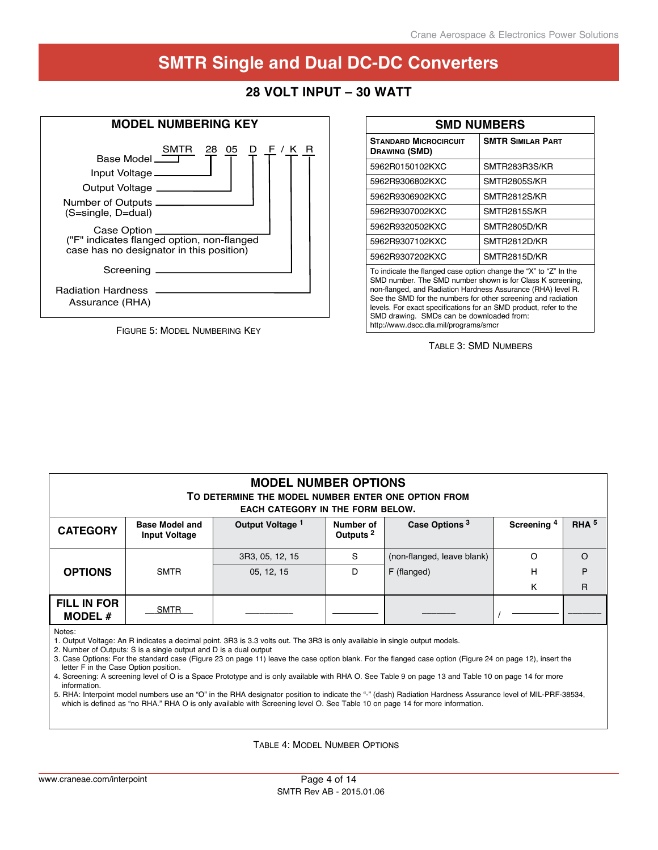### **28 Volt input – 30 Watt**



Figure 5: Model Numbering Key

| <b>SMD NUMBERS</b>                                                                                                                                                                                                                                                                                                                   |                          |  |  |  |  |  |
|--------------------------------------------------------------------------------------------------------------------------------------------------------------------------------------------------------------------------------------------------------------------------------------------------------------------------------------|--------------------------|--|--|--|--|--|
| <b>STANDARD MICROCIRCUIT</b><br><b>DRAWING (SMD)</b>                                                                                                                                                                                                                                                                                 | <b>SMTR SIMILAR PART</b> |  |  |  |  |  |
| 5962R0150102KXC                                                                                                                                                                                                                                                                                                                      | SMTR283R3S/KR            |  |  |  |  |  |
| 5962R9306802KXC                                                                                                                                                                                                                                                                                                                      | SMTR2805S/KR             |  |  |  |  |  |
| 5962R9306902KXC                                                                                                                                                                                                                                                                                                                      | SMTR2812S/KR             |  |  |  |  |  |
| 5962R9307002KXC                                                                                                                                                                                                                                                                                                                      | SMTR2815S/KR             |  |  |  |  |  |
| 5962R9320502KXC                                                                                                                                                                                                                                                                                                                      | SMTR2805D/KR             |  |  |  |  |  |
| 5962R9307102KXC                                                                                                                                                                                                                                                                                                                      | SMTR2812D/KR             |  |  |  |  |  |
| 5962R9307202KXC                                                                                                                                                                                                                                                                                                                      | SMTR2815D/KR             |  |  |  |  |  |
| To indicate the flanged case option change the "X" to "Z" In the<br>SMD number. The SMD number shown is for Class K screening,<br>non-flanged, and Radiation Hardness Assurance (RHA) level R.<br>See the SMD for the numbers for other screening and radiation<br>levels. For exact specifications for an SMD product, refer to the |                          |  |  |  |  |  |

SMD drawing. SMDs can be downloaded from: http://www.dscc.dla.mil/programs/smcr

Table 3: SMD Numbers

| <b>MODEL NUMBER OPTIONS</b><br>TO DETERMINE THE MODEL NUMBER ENTER ONE OPTION FROM<br><b>EACH CATEGORY IN THE FORM BELOW.</b> |                                                                                                                   |                                                                                                                             |                                   |                            |                        |                  |  |
|-------------------------------------------------------------------------------------------------------------------------------|-------------------------------------------------------------------------------------------------------------------|-----------------------------------------------------------------------------------------------------------------------------|-----------------------------------|----------------------------|------------------------|------------------|--|
| <b>CATEGORY</b>                                                                                                               | <b>Base Model and</b><br><b>Input Voltage</b>                                                                     | Output Voltage 1                                                                                                            | Number of<br>Outputs <sup>2</sup> | Case Options <sup>3</sup>  | Screening <sup>4</sup> | RHA <sup>5</sup> |  |
|                                                                                                                               |                                                                                                                   | 3R3, 05, 12, 15                                                                                                             | S                                 | (non-flanged, leave blank) | $\Omega$               | $\Omega$         |  |
| <b>OPTIONS</b>                                                                                                                | <b>SMTR</b>                                                                                                       | 05, 12, 15                                                                                                                  | D                                 | F (flanged)                | н                      | P                |  |
|                                                                                                                               |                                                                                                                   |                                                                                                                             |                                   |                            | K                      | $\mathsf{R}$     |  |
| <b>FILL IN FOR</b><br><b>MODEL #</b>                                                                                          | <b>SMTR</b>                                                                                                       |                                                                                                                             |                                   |                            |                        |                  |  |
| Notes:                                                                                                                        | $\alpha$ . Month and $\alpha$ , the other $\alpha$ is a contained and $\alpha$ is a choice of the set of $\alpha$ | 1. Output Voltage: An R indicates a decimal point. 3R3 is 3.3 volts out. The 3R3 is only available in single output models. |                                   |                            |                        |                  |  |

2. Number of Outputs: S is a single output and D is a dual output

3. Case Options: For the standard case (Figure 23 on page 11) leave the case option blank. For the flanged case option (Figure 24 on page 12), insert the letter F in the Case Option position.

4. Screening: A screening level of O is a Space Prototype and is only available with RHA O. See Table 9 on page 13 and Table 10 on page 14 for more information.

5. RHA: Interpoint model numbers use an "O" in the RHA designator position to indicate the "-" (dash) Radiation Hardness Assurance level of MIL-PRF-38534, which is defined as "no RHA." RHA O is only available with Screening level O. See Table 10 on page 14 for more information.

Table 4: Model Number Options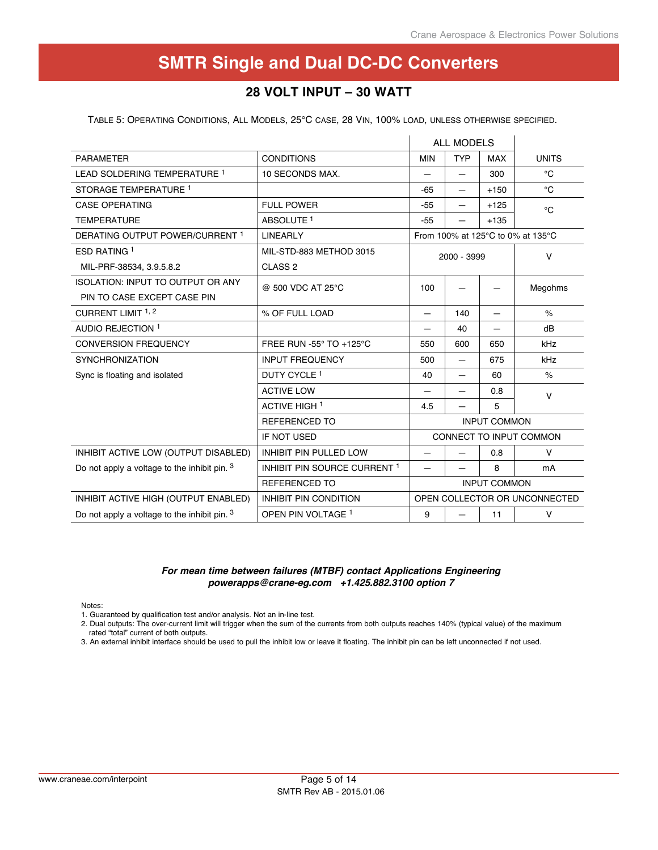### **28 Volt input – 30 Watt**

Table 5: Operating Conditions, All Models, 25°C case, 28 Vin, 100% load, unless otherwise specified.

|                                              |                                         | <b>ALL MODELS</b>                      |                               |                     |                                   |  |
|----------------------------------------------|-----------------------------------------|----------------------------------------|-------------------------------|---------------------|-----------------------------------|--|
| <b>PARAMETER</b>                             | <b>CONDITIONS</b>                       | <b>MIN</b><br><b>TYP</b><br><b>MAX</b> |                               | <b>UNITS</b>        |                                   |  |
| LEAD SOLDERING TEMPERATURE 1                 | 10 SECONDS MAX.                         |                                        |                               | 300                 | $^{\circ}C$                       |  |
| STORAGE TEMPERATURE 1                        |                                         | $-65$                                  |                               | $+150$              | $^{\circ}C$                       |  |
| <b>CASE OPERATING</b>                        | <b>FULL POWER</b>                       | $-55$                                  |                               | $+125$              | $^{\circ}C$                       |  |
| <b>TEMPERATURE</b>                           | ABSOLUTE <sup>1</sup>                   | $-55$                                  |                               | $+135$              |                                   |  |
| DERATING OUTPUT POWER/CURRENT 1              | <b>LINEARLY</b>                         |                                        |                               |                     | From 100% at 125°C to 0% at 135°C |  |
| ESD RATING 1                                 | MIL-STD-883 METHOD 3015                 |                                        | 2000 - 3999                   |                     | $\vee$                            |  |
| MIL-PRF-38534, 3.9.5.8.2                     | CLASS <sub>2</sub>                      |                                        |                               |                     |                                   |  |
| <b>ISOLATION: INPUT TO OUTPUT OR ANY</b>     | @ 500 VDC AT 25°C                       | 100                                    |                               |                     | Megohms                           |  |
| PIN TO CASE EXCEPT CASE PIN                  |                                         |                                        |                               |                     |                                   |  |
| CURRENT LIMIT 1, 2                           | % OF FULL LOAD                          | $\qquad \qquad$                        | 140                           | —                   | $\%$                              |  |
| AUDIO REJECTION 1                            |                                         | $\overline{\phantom{0}}$               | 40                            | —                   | dB                                |  |
| <b>CONVERSION FREQUENCY</b>                  | FREE RUN -55° TO +125°C                 | 550                                    | 600                           | 650                 | kHz                               |  |
| <b>SYNCHRONIZATION</b>                       | <b>INPUT FREQUENCY</b>                  | 500                                    |                               | 675                 | kHz                               |  |
| Sync is floating and isolated                | DUTY CYCLE <sup>1</sup>                 | 40                                     |                               | 60                  | $\%$                              |  |
|                                              | <b>ACTIVE LOW</b>                       |                                        |                               | 0.8                 | $\vee$                            |  |
|                                              | <b>ACTIVE HIGH 1</b>                    | 4.5                                    |                               | 5                   |                                   |  |
|                                              | <b>REFERENCED TO</b>                    |                                        |                               | <b>INPUT COMMON</b> |                                   |  |
|                                              | IF NOT USED                             |                                        |                               |                     | CONNECT TO INPUT COMMON           |  |
| INHIBIT ACTIVE LOW (OUTPUT DISABLED)         | <b>INHIBIT PIN PULLED LOW</b>           |                                        |                               | 0.8                 | V                                 |  |
| Do not apply a voltage to the inhibit pin. 3 | INHIBIT PIN SOURCE CURRENT <sup>1</sup> | $\overline{\phantom{0}}$               |                               | 8                   | mA                                |  |
|                                              | <b>REFERENCED TO</b>                    |                                        |                               | <b>INPUT COMMON</b> |                                   |  |
| INHIBIT ACTIVE HIGH (OUTPUT ENABLED)         | <b>INHIBIT PIN CONDITION</b>            |                                        | OPEN COLLECTOR OR UNCONNECTED |                     |                                   |  |
| Do not apply a voltage to the inhibit pin. 3 | OPEN PIN VOLTAGE <sup>1</sup>           | 9                                      |                               | 11                  | V                                 |  |

#### *For mean time between failures (MTBF) contact Applications Engineering powerapps@crane-eg.com +1.425.882.3100 option 7*

Notes:

1. Guaranteed by qualification test and/or analysis. Not an in-line test.

2. Dual outputs: The over-current limit will trigger when the sum of the currents from both outputs reaches 140% (typical value) of the maximum rated "total" current of both outputs.

3. An external inhibit interface should be used to pull the inhibit low or leave it floating. The inhibit pin can be left unconnected if not used.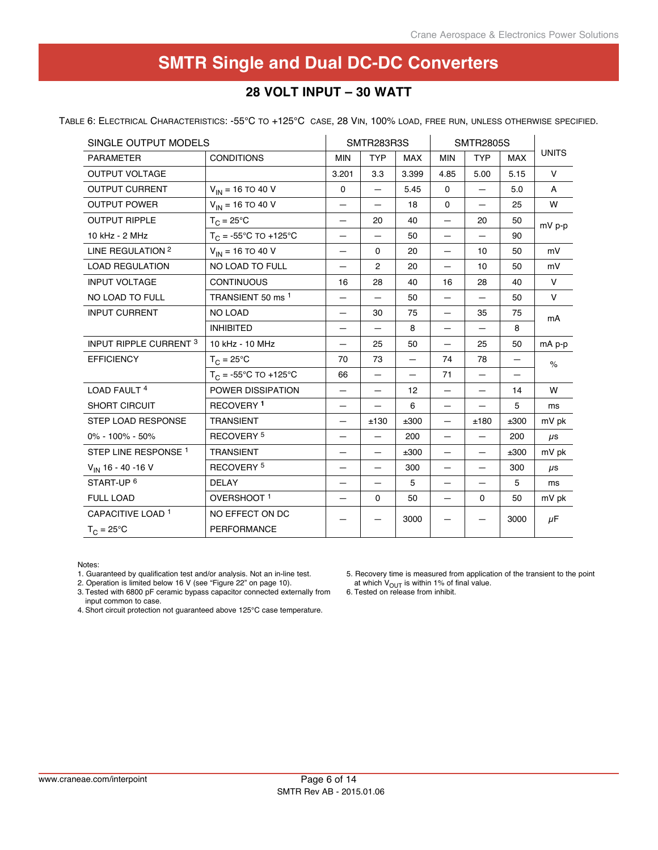## **28 Volt input – 30 Watt**

Table 6: Electrical Characteristics: -55°C to +125°C case, 28 Vin, 100% load, free run, unless otherwise specified.

| SINGLE OUTPUT MODELS            |                                |                          | SMTR283R3S               |            |                          | <b>SMTR2805S</b>         |            |               |
|---------------------------------|--------------------------------|--------------------------|--------------------------|------------|--------------------------|--------------------------|------------|---------------|
| <b>PARAMETER</b>                | <b>CONDITIONS</b>              | <b>MIN</b>               | <b>TYP</b>               | <b>MAX</b> | <b>MIN</b>               | <b>TYP</b>               | <b>MAX</b> | <b>UNITS</b>  |
| <b>OUTPUT VOLTAGE</b>           |                                | 3.201                    | 3.3                      | 3.399      | 4.85                     | 5.00                     | 5.15       | $\vee$        |
| <b>OUTPUT CURRENT</b>           | $V_{IN}$ = 16 TO 40 V          | $\mathbf 0$              | —                        | 5.45       | $\mathbf{0}$             | $\overline{\phantom{0}}$ | 5.0        | A             |
| <b>OUTPUT POWER</b>             | $V_{IN}$ = 16 TO 40 V          |                          | —                        | 18         | $\mathbf 0$              | —                        | 25         | W             |
| <b>OUTPUT RIPPLE</b>            | $T_C = 25^{\circ}C$            |                          | 20                       | 40         |                          | 20                       | 50         | mV p-p        |
| 10 kHz - 2 MHz                  | $T_C = -55^{\circ}C$ TO +125°C | $\overline{\phantom{0}}$ |                          | 50         | $\overline{\phantom{0}}$ |                          | 90         |               |
| LINE REGULATION <sup>2</sup>    | $V_{IN}$ = 16 TO 40 V          | —                        | $\mathbf 0$              | 20         | $\equiv$                 | 10                       | 50         | mV            |
| <b>LOAD REGULATION</b>          | NO LOAD TO FULL                | —                        | $\overline{2}$           | 20         | $\qquad \qquad -$        | 10                       | 50         | mV            |
| <b>INPUT VOLTAGE</b>            | <b>CONTINUOUS</b>              | 16                       | 28                       | 40         | 16                       | 28                       | 40         | $\vee$        |
| NO LOAD TO FULL                 | TRANSIENT 50 ms <sup>1</sup>   | —                        |                          | 50         | —                        | $\overline{\phantom{0}}$ | 50         | $\vee$        |
| <b>INPUT CURRENT</b>            | <b>NO LOAD</b>                 |                          | 30                       | 75         | —                        | 35                       | 75         | mA            |
|                                 | <b>INHIBITED</b>               |                          |                          | 8          |                          |                          | 8          |               |
| <b>INPUT RIPPLE CURRENT 3</b>   | 10 kHz - 10 MHz                | $\overline{\phantom{0}}$ | 25                       | 50         | $\overline{\phantom{0}}$ | 25                       | 50         | $mA$ $p-p$    |
| <b>EFFICIENCY</b>               | $T_{C} = 25^{\circ}C$          | 70                       | 73                       | —          | 74                       | 78                       | —          | $\frac{1}{6}$ |
|                                 | $T_C = -55^{\circ}C$ TO +125°C | 66                       | $\equiv$                 | —          | 71                       | $\qquad \qquad -$        |            |               |
| LOAD FAULT <sup>4</sup>         | POWER DISSIPATION              | —                        | —                        | 12         | $\overline{\phantom{0}}$ | $\overline{\phantom{0}}$ | 14         | W             |
| SHORT CIRCUIT                   | RECOVERY <sup>1</sup>          | —                        |                          | 6          | —                        |                          | 5          | ms            |
| <b>STEP LOAD RESPONSE</b>       | <b>TRANSIENT</b>               |                          | ±130                     | ±300       | —                        | ±180                     | ±300       | mV pk         |
| 0% - 100% - 50%                 | RECOVERY <sup>5</sup>          |                          |                          | 200        | $\equiv$                 |                          | 200        | $\mu$ s       |
| STEP LINE RESPONSE <sup>1</sup> | <b>TRANSIENT</b>               | —                        | $\overline{\phantom{0}}$ | ±300       | $\overline{\phantom{0}}$ | $\equiv$                 | ±300       | mV pk         |
| $V_{IN}$ 16 - 40 - 16 V         | RECOVERY <sup>5</sup>          | —                        | $\overline{\phantom{0}}$ | 300        | $\overline{\phantom{0}}$ | $\equiv$                 | 300        | $\mu$ s       |
| START-UP <sup>6</sup>           | <b>DELAY</b>                   | —                        |                          | 5          | $\qquad \qquad -$        |                          | 5          | ms            |
| <b>FULL LOAD</b>                | OVERSHOOT <sup>1</sup>         | —                        | $\mathbf 0$              | 50         | —                        | $\mathbf 0$              | 50         | mV pk         |
| CAPACITIVE LOAD <sup>1</sup>    | NO EFFECT ON DC                |                          |                          | 3000       |                          |                          | 3000       | $\mu$ F       |
| $T_C = 25$ °C                   | PERFORMANCE                    |                          |                          |            |                          |                          |            |               |

Notes:

1. Guaranteed by qualification test and/or analysis. Not an in-line test.

2. Operation is limited below 16 V (see "Figure 22" on page 10).

3. Tested with 6800 pF ceramic bypass capacitor connected externally from input common to case.

4. Short circuit protection not guaranteed above 125°C case temperature.

5. Recovery time is measured from application of the transient to the point at which  $V_{\text{OUT}}$  is within 1% of final value.

6. Tested on release from inhibit.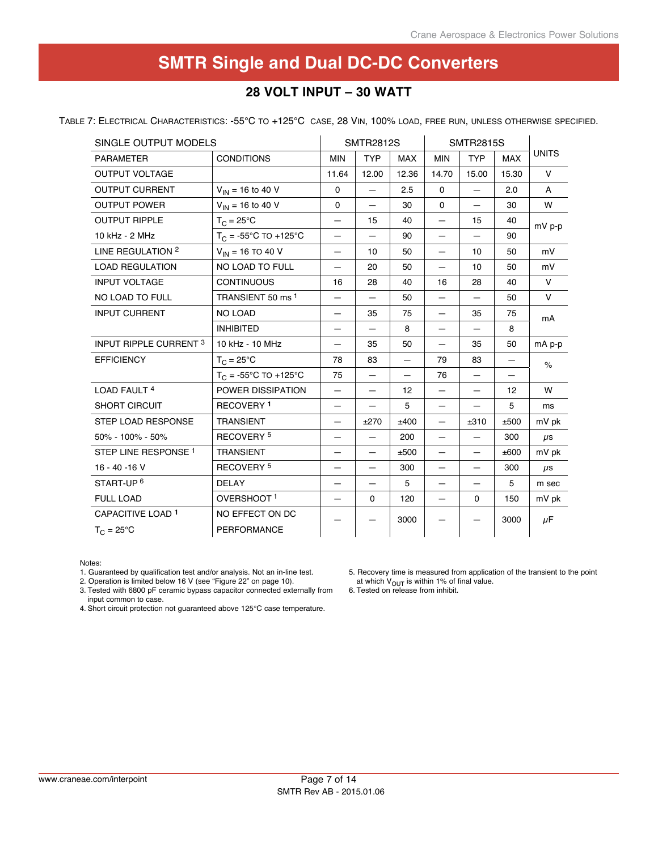## **28 Volt input – 30 Watt**

Table 7: Electrical Characteristics: -55°C to +125°C case, 28 Vin, 100% load, free run, unless otherwise specified.

| SINGLE OUTPUT MODELS            |                                |                          | <b>SMTR2812S</b>         |                          |                          | <b>SMTR2815S</b>         |            |               |
|---------------------------------|--------------------------------|--------------------------|--------------------------|--------------------------|--------------------------|--------------------------|------------|---------------|
| <b>PARAMETER</b>                | <b>CONDITIONS</b>              | <b>MIN</b>               | <b>TYP</b>               | <b>MAX</b>               | <b>MIN</b>               | <b>TYP</b>               | <b>MAX</b> | <b>UNITS</b>  |
| <b>OUTPUT VOLTAGE</b>           |                                | 11.64                    | 12.00                    | 12.36                    | 14.70                    | 15.00                    | 15.30      | V             |
| <b>OUTPUT CURRENT</b>           | $V_{IN}$ = 16 to 40 V          | 0                        | —                        | 2.5                      | 0                        | $\overline{\phantom{0}}$ | 2.0        | A             |
| <b>OUTPUT POWER</b>             | $V_{IN}$ = 16 to 40 V          | $\mathbf 0$              | $\overline{\phantom{0}}$ | 30                       | 0                        | $\qquad \qquad -$        | 30         | W             |
| <b>OUTPUT RIPPLE</b>            | $T_C = 25^{\circ}C$            | $\overline{\phantom{0}}$ | 15                       | 40                       | —                        | 15                       | 40         | $mV p-p$      |
| 10 kHz - 2 MHz                  | $T_C = -55^{\circ}C$ TO +125°C |                          |                          | 90                       |                          |                          | 90         |               |
| LINE REGULATION 2               | $V_{IN}$ = 16 TO 40 V          |                          | 10                       | 50                       |                          | 10                       | 50         | mV            |
| <b>LOAD REGULATION</b>          | NO LOAD TO FULL                |                          | 20                       | 50                       | $\overline{\phantom{0}}$ | 10                       | 50         | mV            |
| <b>INPUT VOLTAGE</b>            | <b>CONTINUOUS</b>              | 16                       | 28                       | 40                       | 16                       | 28                       | 40         | $\vee$        |
| NO LOAD TO FULL                 | TRANSIENT 50 ms <sup>1</sup>   | $\qquad \qquad -$        | —                        | 50                       | $\qquad \qquad -$        |                          | 50         | V             |
| <b>INPUT CURRENT</b>            | <b>NO LOAD</b>                 |                          | 35                       | 75                       | $\qquad \qquad -$        | 35                       | 75         | mA            |
|                                 | <b>INHIBITED</b>               |                          |                          | 8                        | —                        |                          | 8          |               |
| <b>INPUT RIPPLE CURRENT 3</b>   | 10 kHz - 10 MHz                |                          | 35                       | 50                       |                          | 35                       | 50         | $mA$ $p-p$    |
| <b>EFFICIENCY</b>               | $T_C = 25^{\circ}C$            | 78                       | 83                       | $\equiv$                 | 79                       | 83                       | $\equiv$   | $\frac{6}{6}$ |
|                                 | $T_C = -55^{\circ}C$ TO +125°C | 75                       | —                        | $\overline{\phantom{0}}$ | 76                       | $\qquad \qquad$          | —          |               |
| LOAD FAULT <sup>4</sup>         | POWER DISSIPATION              | $\overline{\phantom{0}}$ | —                        | 12                       |                          | $\overline{\phantom{0}}$ | 12         | W             |
| <b>SHORT CIRCUIT</b>            | <b>RECOVERY 1</b>              | $\qquad \qquad$          |                          | 5                        | $\qquad \qquad$          |                          | 5          | ms            |
| <b>STEP LOAD RESPONSE</b>       | <b>TRANSIENT</b>               |                          | ±270                     | ±400                     | $\equiv$                 | ±310                     | ±500       | mV pk         |
| 50% - 100% - 50%                | RECOVERY <sup>5</sup>          |                          |                          | 200                      |                          |                          | 300        | $\mu$ s       |
| STEP LINE RESPONSE <sup>1</sup> | <b>TRANSIENT</b>               |                          |                          | ±500                     | —                        |                          | ±600       | mV pk         |
| $16 - 40 - 16$ V                | RECOVERY <sup>5</sup>          |                          | —                        | 300                      | $\overline{\phantom{0}}$ | $\qquad \qquad -$        | 300        | $\mu$ s       |
| START-UP <sup>6</sup>           | <b>DELAY</b>                   | $\qquad \qquad -$        | —                        | 5                        | $\qquad \qquad -$        | $\qquad \qquad -$        | 5          | m sec         |
| <b>FULL LOAD</b>                | OVERSHOOT <sup>1</sup>         |                          | 0                        | 120                      | —                        | 0                        | 150        | mV pk         |
| CAPACITIVE LOAD <sup>1</sup>    | NO EFFECT ON DC                |                          |                          | 3000                     |                          |                          | 3000       | $\mu$ F       |
| $T_C = 25^{\circ}C$             | <b>PERFORMANCE</b>             |                          |                          |                          |                          |                          |            |               |

#### Notes:

1. Guaranteed by qualification test and/or analysis. Not an in-line test.

2. Operation is limited below 16 V (see "Figure 22" on page 10).

5. Recovery time is measured from application of the transient to the point at which  $V_{\text{OUT}}$  is within 1% of final value.

3. Tested with 6800 pF ceramic bypass capacitor connected externally from input common to case.

4. Short circuit protection not guaranteed above 125°C case temperature.

6. Tested on release from inhibit.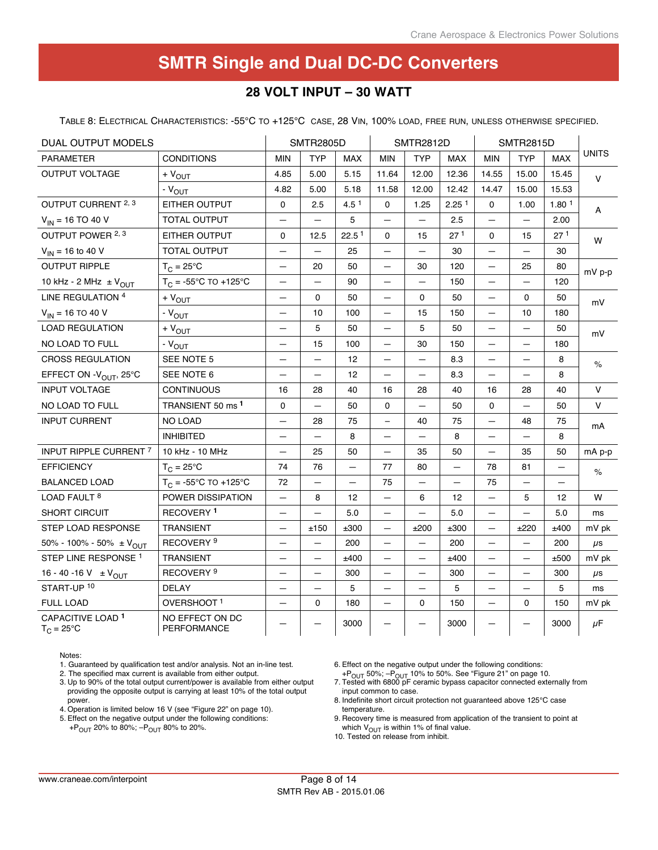## **28 Volt input – 30 Watt**

Table 8: Electrical Characteristics: -55°C to +125°C case, 28 Vin, 100% load, free run, unless otherwise specified.

| DUAL OUTPUT MODELS                             |                                       | <b>SMTR2805D</b>         |                          | <b>SMTR2812D</b>  |                          |                          | <b>SMTR2815D</b>         |                          |                          |                   |              |
|------------------------------------------------|---------------------------------------|--------------------------|--------------------------|-------------------|--------------------------|--------------------------|--------------------------|--------------------------|--------------------------|-------------------|--------------|
| <b>PARAMETER</b>                               | <b>CONDITIONS</b>                     | <b>MIN</b>               | <b>TYP</b>               | <b>MAX</b>        | <b>MIN</b>               | <b>TYP</b>               | <b>MAX</b>               | <b>MIN</b>               | <b>TYP</b>               | <b>MAX</b>        | <b>UNITS</b> |
| OUTPUT VOLTAGE                                 | $+V_{OUT}$                            | 4.85                     | 5.00                     | 5.15              | 11.64                    | 12.00                    | 12.36                    | 14.55                    | 15.00                    | 15.45             | $\vee$       |
|                                                | $-V_{OUT}$                            | 4.82                     | 5.00                     | 5.18              | 11.58                    | 12.00                    | 12.42                    | 14.47                    | 15.00                    | 15.53             |              |
| OUTPUT CURRENT 2, 3                            | EITHER OUTPUT                         | $\Omega$                 | 2.5                      | $4.5^{\text{1}}$  | $\Omega$                 | 1.25                     | 2.25 <sup>1</sup>        | $\mathbf{0}$             | 1.00                     | 1.80 <sup>1</sup> | A            |
| $V_{IN}$ = 16 TO 40 V                          | <b>TOTAL OUTPUT</b>                   |                          |                          | 5                 |                          |                          | 2.5                      |                          | —                        | 2.00              |              |
| OUTPUT POWER 2, 3                              | EITHER OUTPUT                         | $\mathbf{0}$             | 12.5                     | 22.5 <sup>1</sup> | $\Omega$                 | 15                       | 271                      | $\mathbf{0}$             | 15                       | 27 <sup>1</sup>   | W            |
| $V_{IN}$ = 16 to 40 V                          | <b>TOTAL OUTPUT</b>                   | $\overline{\phantom{0}}$ | $\overline{\phantom{0}}$ | 25                | $\overline{\phantom{0}}$ | $\overline{\phantom{0}}$ | 30                       | $\overline{\phantom{0}}$ | $\overline{\phantom{0}}$ | 30                |              |
| <b>OUTPUT RIPPLE</b>                           | $T_{C} = 25^{\circ}C$                 |                          | 20                       | 50                |                          | 30                       | 120                      |                          | 25                       | 80                | $mV p-p$     |
| 10 kHz - 2 MHz $\pm$ V <sub>OUT</sub>          | $T_C = -55^{\circ}C$ TO +125°C        | $\equiv$                 | -                        | 90                | -                        | $\qquad \qquad -$        | 150                      | -                        | —                        | 120               |              |
| LINE REGULATION 4                              | $+V_{OUT}$                            | $\overline{\phantom{0}}$ | 0                        | 50                | —                        | $\Omega$                 | 50                       | —                        | 0                        | 50                | mV           |
| $V_{IN}$ = 16 TO 40 V                          | $-VOUT$                               | —                        | 10                       | 100               | -                        | 15                       | 150                      | $\overline{\phantom{0}}$ | 10                       | 180               |              |
| <b>LOAD REGULATION</b>                         | $+V_{OUT}$                            |                          | 5                        | 50                | $\overline{\phantom{0}}$ | 5                        | 50                       | $\equiv$                 | $\overline{\phantom{0}}$ | 50                | mV           |
| NO LOAD TO FULL                                | $-V_{OUT}$                            |                          | 15                       | 100               | —                        | 30                       | 150                      | $\equiv$                 | —                        | 180               |              |
| <b>CROSS REGULATION</b>                        | SEE NOTE 5                            | $\overline{\phantom{0}}$ | $\overline{\phantom{0}}$ | 12                | $\overline{\phantom{0}}$ | $\overline{\phantom{0}}$ | 8.3                      | $\equiv$                 | $\overline{\phantom{0}}$ | 8                 | $\%$         |
| EFFECT ON - V <sub>OUT</sub> , 25°C            | SEE NOTE 6                            |                          | ═                        | 12                | $\equiv$                 |                          | 8.3                      | $\equiv$                 | ▃                        | 8                 |              |
| <b>INPUT VOLTAGE</b>                           | <b>CONTINUOUS</b>                     | 16                       | 28                       | 40                | 16                       | 28                       | 40                       | 16                       | 28                       | 40                | V            |
| NO LOAD TO FULL                                | TRANSIENT 50 ms <sup>1</sup>          | $\Omega$                 | $\overline{\phantom{0}}$ | 50                | $\Omega$                 | $\overline{\phantom{0}}$ | 50                       | $\mathbf{0}$             | $\overline{\phantom{0}}$ | 50                | V            |
| <b>INPUT CURRENT</b>                           | <b>NO LOAD</b>                        |                          | 28                       | 75                | $\overline{\phantom{0}}$ | 40                       | 75                       | $\equiv$                 | 48                       | 75                | mA           |
|                                                | <b>INHIBITED</b>                      |                          |                          | 8                 |                          |                          | 8                        | $\overline{\phantom{0}}$ |                          | 8                 |              |
| INPUT RIPPLE CURRENT 7                         | 10 kHz - 10 MHz                       | $\overline{\phantom{0}}$ | 25                       | 50                | $\equiv$                 | 35                       | 50                       | $\equiv$                 | 35                       | 50                | $mA$ p-p     |
| <b>EFFICIENCY</b>                              | $T_C = 25^{\circ}C$                   | 74                       | 76                       | -                 | 77                       | 80                       | $\overline{\phantom{0}}$ | 78                       | 81                       | $\qquad \qquad -$ | $\%$         |
| <b>BALANCED LOAD</b>                           | $T_C = -55^{\circ}C$ TO +125°C        | 72                       | —                        |                   | 75                       |                          |                          | 75                       | —                        |                   |              |
| LOAD FAULT <sup>8</sup>                        | POWER DISSIPATION                     | -                        | 8                        | 12                | -                        | 6                        | 12                       | -                        | 5                        | 12                | W            |
| <b>SHORT CIRCUIT</b>                           | RECOVERY <sup>1</sup>                 | $\overline{\phantom{0}}$ | $\overline{\phantom{0}}$ | 5.0               | $\equiv$                 | $\overline{\phantom{0}}$ | 5.0                      | $\qquad \qquad -$        | $\overline{\phantom{0}}$ | 5.0               | ms           |
| STEP LOAD RESPONSE                             | TRANSIENT                             | —                        | ±150                     | ±300              | $\equiv$                 | ±200                     | ±300                     | $\overline{\phantom{0}}$ | ±220                     | ±400              | mV pk        |
| 50% - 100% - 50% $\pm$ V <sub>OUT</sub>        | RECOVERY <sup>9</sup>                 |                          |                          | 200               |                          |                          | 200                      | —                        |                          | 200               | $\mu$ s      |
| STEP LINE RESPONSE <sup>1</sup>                | <b>TRANSIENT</b>                      | $\overline{\phantom{0}}$ | —                        | ±400              | -                        | $\overline{\phantom{0}}$ | ±400                     | $\qquad \qquad -$        | $\overline{\phantom{0}}$ | ±500              | mV pk        |
| 16 - 40 - 16 V $\pm$ V <sub>OUT</sub>          | RECOVERY <sup>9</sup>                 | $\equiv$                 | $\overline{\phantom{0}}$ | 300               | $\qquad \qquad -$        | $\overline{\phantom{0}}$ | 300                      | $\qquad \qquad -$        | $\qquad \qquad -$        | 300               | $\mu$ s      |
| START-UP <sup>10</sup>                         | <b>DELAY</b>                          |                          | $\overline{\phantom{0}}$ | 5                 | $\equiv$                 |                          | 5                        | $\overline{\phantom{0}}$ | $\overline{\phantom{0}}$ | 5                 | ms           |
| <b>FULL LOAD</b>                               | OVERSHOOT <sup>1</sup>                |                          | $\mathbf 0$              | 180               |                          | $\Omega$                 | 150                      |                          | $\Omega$                 | 150               | mV pk        |
| CAPACITIVE LOAD <sup>1</sup><br>$T_{C}$ = 25°C | NO EFFECT ON DC<br><b>PERFORMANCE</b> |                          |                          | 3000              |                          | -                        | 3000                     | -                        |                          | 3000              | μF           |

Notes:

1. Guaranteed by qualification test and/or analysis. Not an in-line test.

2. The specified max current is available from either output.

3. Up to 90% of the total output current/power is available from either output providing the opposite output is carrying at least 10% of the total output power.

4. Operation is limited below 16 V (see "Figure 22" on page 10).

5. Effect on the negative output under the following conditions:  $+P_{\text{OUT}}$  20% to 80%;  $-P_{\text{OUT}}$  80% to 20%.

6. Effect on the negative output under the following conditions:

+P<sub>OUT</sub> 50%; -P<sub>OUT</sub> 10% to 50%. See "Figure 21" on page 10.<br>7. Tested with 6800 pF ceramic bypass capacitor connected externally from

- input common to case.
- 8. Indefinite short circuit protection not guaranteed above 125°C case temperature.
- 9. Recovery time is measured from application of the transient to point at which  $V_{\text{OUT}}$  is within 1% of final value.

10. Tested on release from inhibit.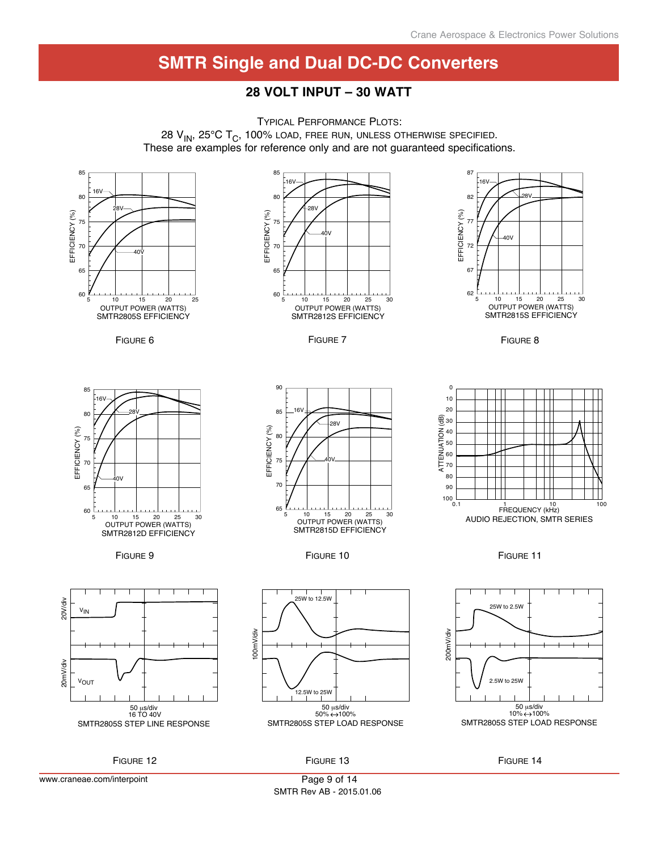## **28 Volt input – 30 Watt**



www.craneae.com/interpoint

Page 9 of 14 SMTR Rev AB - 2015.01.06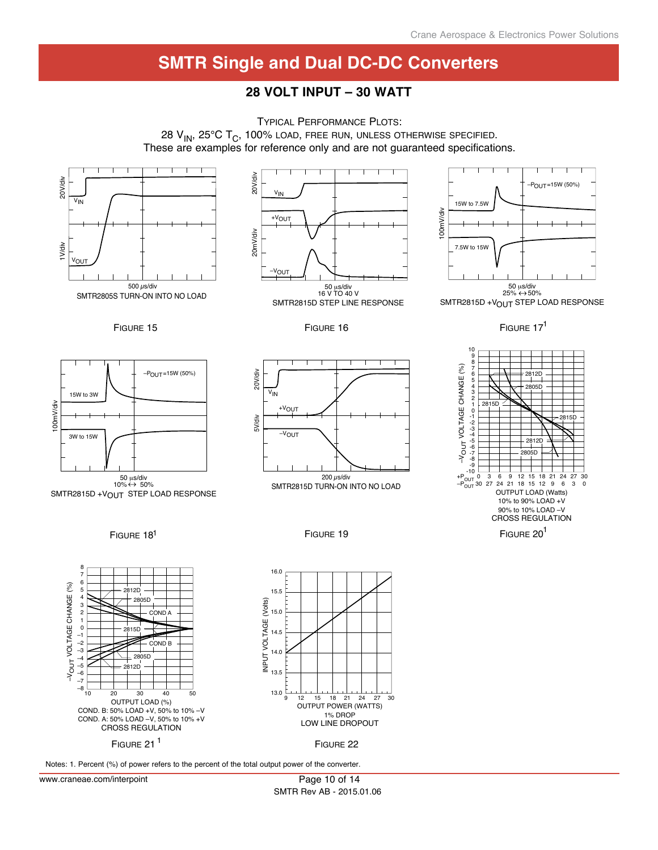## **28 Volt input – 30 Watt**



Notes: 1. Percent (%) of power refers to the percent of the total output power of the converter.

www.craneae.com/interpoint

Page 10 of 14 SMTR Rev AB - 2015.01.06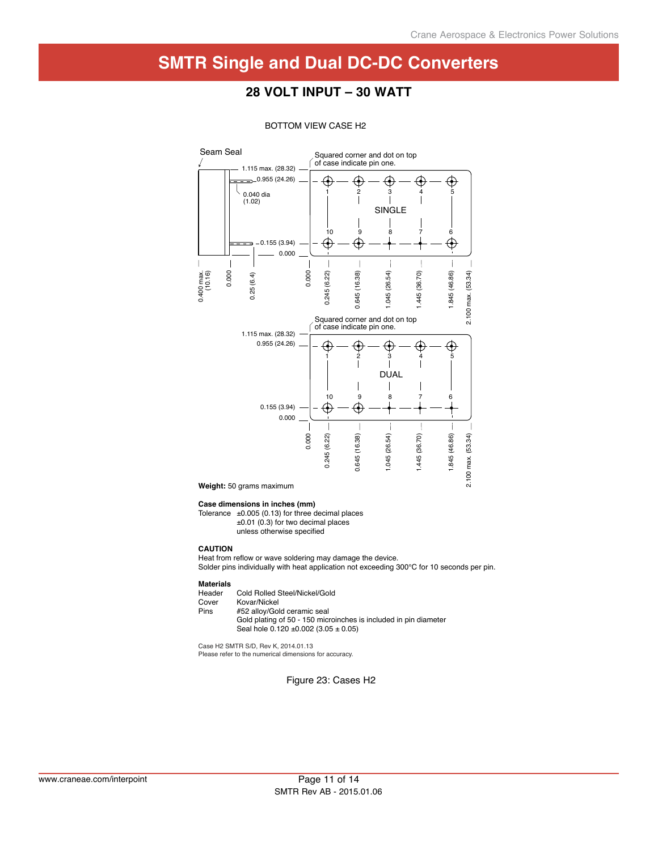## **28 Volt input – 30 Watt**



#### BOTTOM VIEW CASE H2

**Weight:** 50 grams maximum

#### **Case dimensions in inches (mm)**

Tolerance  $\pm 0.005$  (0.13) for three decimal places ±0.01 (0.3) for two decimal places unless otherwise specified

#### **CAUTION**

Heat from reflow or wave soldering may damage the device. Solder pins individually with heat application not exceeding 300°C for 10 seconds per pin.

## **Materials**

Header Cold Rolled Steel/Nickel/Gold<br>Cover Kovar/Nickel

Cover Kovar/Nickel<br>Pins #52 allov/Gol #52 alloy/Gold ceramic seal

 Gold plating of 50 - 150 microinches is included in pin diameter Seal hole  $0.120 \pm 0.002$  (3.05  $\pm$  0.05)

Case H2 SMTR S/D, Rev K, 2014.01.13 Please refer to the numerical dimensions for accuracy.

Figure 23: Cases H2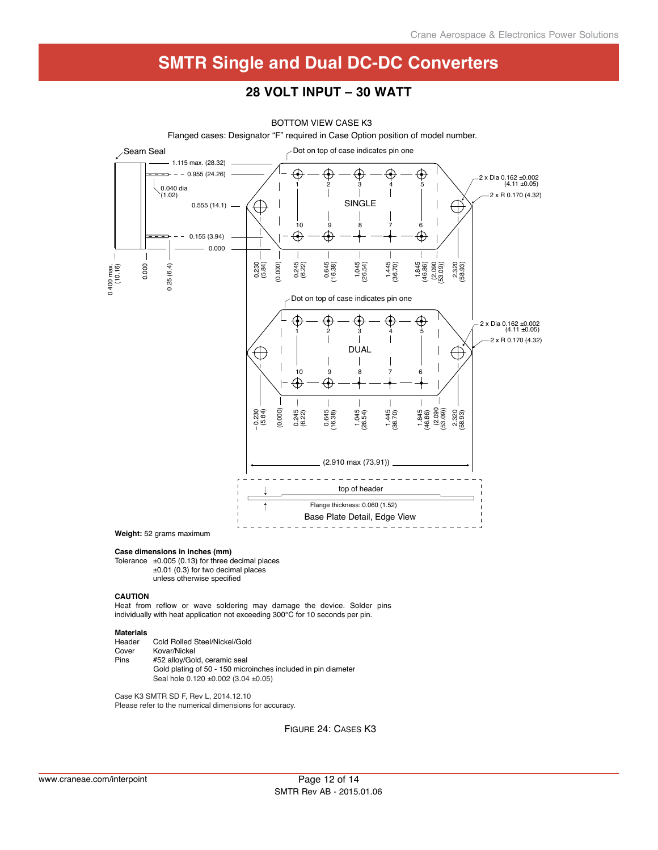#### **28 Volt input – 30 Watt**



Flanged cases: Designator "F" required in Case Option position of model number. BOTTOM VIEW CASE K3

**Case dimensions in inches (mm)**

Tolerance  $\pm 0.005$  (0.13) for three decimal places ±0.01 (0.3) for two decimal places unless otherwise specified

#### **CAUTION**

Heat from reflow or wave soldering may damage the device. Solder pins individually with heat application not exceeding 300°C for 10 seconds per pin.

## **Materials**

| Header | Cold Rolled Steel/Nickel/Gold                                 |
|--------|---------------------------------------------------------------|
| Cover  | Kovar/Nickel                                                  |
| Pins   | #52 allov/Gold, ceramic seal                                  |
|        | Gold plating of 50 - 150 microinches included in pin diameter |
|        | Seal hole 0.120 ±0.002 (3.04 ±0.05)                           |

Case K3 SMTR SD F, Rev L, 2014.12.10 Please refer to the numerical dimensions for accuracy.

Figure 24: Cases K3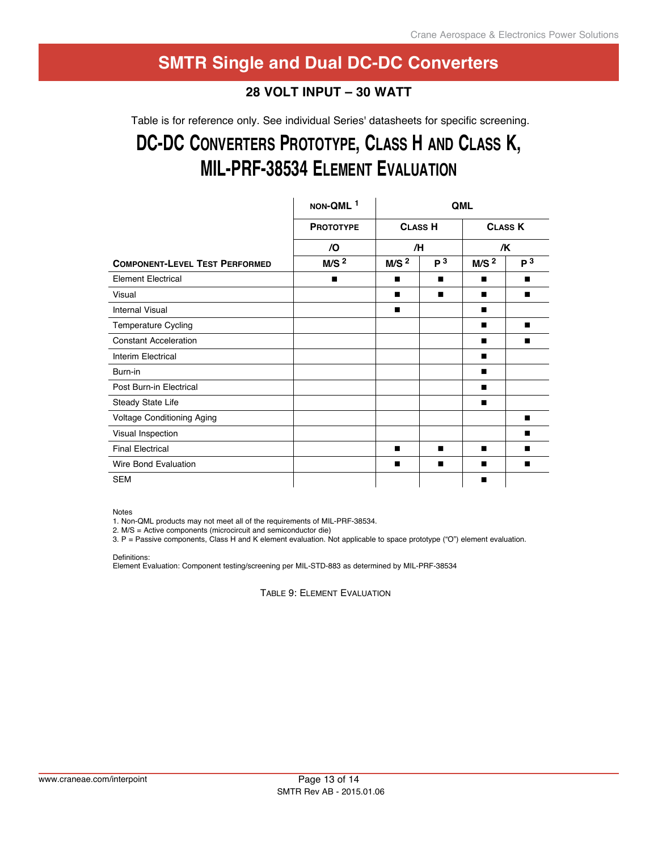## **28 Volt input – 30 Watt**

Table is for reference only. See individual Series' datasheets for specific screening.

# DC-DC CONVERTERS PROTOTYPE, CLASS H AND CLASS K, **Mil-Prf-38534 eleMent eValuation**

|                                       | NON-QML <sup>1</sup> | QML              |                |                  |                |
|---------------------------------------|----------------------|------------------|----------------|------------------|----------------|
|                                       | <b>PROTOTYPE</b>     | <b>CLASS H</b>   |                | <b>CLASS K</b>   |                |
|                                       | $\sqrt{O}$           | /H               |                | /K               |                |
| <b>COMPONENT-LEVEL TEST PERFORMED</b> | M/S <sup>2</sup>     | M/S <sup>2</sup> | P <sup>3</sup> | M/S <sup>2</sup> | P <sup>3</sup> |
| <b>Element Electrical</b>             | п                    | ■                | ш              |                  | ■              |
| Visual                                |                      |                  | ■              | п                | ■              |
| <b>Internal Visual</b>                |                      | ■                |                |                  |                |
| Temperature Cycling                   |                      |                  |                | п                | ■              |
| <b>Constant Acceleration</b>          |                      |                  |                |                  | ■              |
| Interim Electrical                    |                      |                  |                | п                |                |
| Burn-in                               |                      |                  |                |                  |                |
| Post Burn-in Electrical               |                      |                  |                | п                |                |
| Steady State Life                     |                      |                  |                |                  |                |
| Voltage Conditioning Aging            |                      |                  |                |                  | ■              |
| Visual Inspection                     |                      |                  |                |                  |                |
| <b>Final Electrical</b>               |                      | п                | п              | ■                | ■              |
| Wire Bond Evaluation                  |                      | ■                | ш              |                  |                |
| <b>SEM</b>                            |                      |                  |                | ■                |                |

Notes

1. Non-QML products may not meet all of the requirements of MIL-PRF-38534.

2. M/S = Active components (microcircuit and semiconductor die)

3. P = Passive components, Class H and K element evaluation. Not applicable to space prototype ("O") element evaluation.

Definitions:

Element Evaluation: Component testing/screening per MIL-STD-883 as determined by MIL-PRF-38534

TABLE 9: ELEMENT EVALUATION